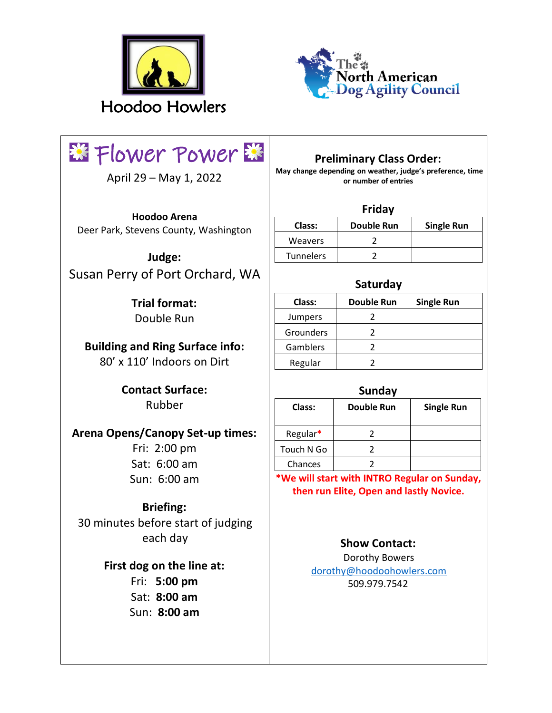



# **EXT** Flower Power

April 29 – May 1, 2022

**Hoodoo Arena**  Deer Park, Stevens County, Washington

**Judge:**  Susan Perry of Port Orchard, WA

> **Trial format:**  Double Run

**Building and Ring Surface info:**  80' x 110' Indoors on Dirt

> **Contact Surface:**  Rubber

**Arena Opens/Canopy Set-up times:** 

Fri: 2:00 pm Sat: 6:00 am Sun: 6:00 am

# **Briefing:**

30 minutes before start of judging each day

## **First dog on the line at:**

Fri: **5:00 pm**  Sat: **8:00 am** Sun: **8:00 am** 

# **Preliminary Class Order:**

**May change depending on weather, judge's preference, time or number of entries** 

#### **Friday**

| Class:           | <b>Double Run</b> | <b>Single Run</b> |
|------------------|-------------------|-------------------|
| Weavers          |                   |                   |
| <b>Tunnelers</b> |                   |                   |

## **Saturday**

| Class:    | <b>Double Run</b> | <b>Single Run</b> |
|-----------|-------------------|-------------------|
| Jumpers   |                   |                   |
| Grounders |                   |                   |
| Gamblers  |                   |                   |
| Regular   |                   |                   |
|           |                   |                   |

#### **Sunday**

| Class:     | <b>Double Run</b> | <b>Single Run</b> |
|------------|-------------------|-------------------|
| Regular*   |                   |                   |
| Touch N Go |                   |                   |
| Chances    |                   |                   |
|            |                   |                   |

**\*We will start with INTRO Regular on Sunday, then run Elite, Open and lastly Novice.** 

## **Show Contact:**

Dorothy Bowers dorothy@hoodoohowlers.com 509.979.7542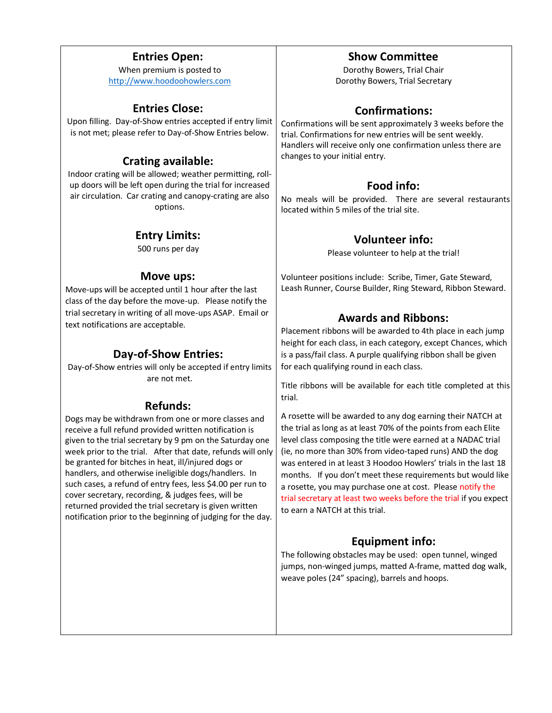#### **Entries Open:**

When premium is posted to [http://www.hoodoohowlers.com](http://www.hoodoohowlers.com/)

#### **Entries Close:**

Upon filling. Day-of-Show entries accepted if entry limit is not met; please refer to Day-of-Show Entries below.

## **Crating available:**

Indoor crating will be allowed; weather permitting, rollup doors will be left open during the trial for increased air circulation. Car crating and canopy-crating are also options.

#### **Entry Limits:**

500 runs per day

#### **Move ups:**

Move-ups will be accepted until 1 hour after the last class of the day before the move-up. Please notify the trial secretary in writing of all move-ups ASAP. Email or text notifications are acceptable.

## **Day-of-Show Entries:**

Day-of-Show entries will only be accepted if entry limits are not met.

## **Refunds:**

Dogs may be withdrawn from one or more classes and receive a full refund provided written notification is given to the trial secretary by 9 pm on the Saturday one week prior to the trial.After that date, refunds will only be granted for bitches in heat, ill/injured dogs or handlers, and otherwise ineligible dogs/handlers. In such cases, a refund of entry fees, less \$4.00 per run to cover secretary, recording, & judges fees, will be returned provided the trial secretary is given written notification prior to the beginning of judging for the day.

## **Show Committee**

Dorothy Bowers, Trial Chair Dorothy Bowers, Trial Secretary

## **Confirmations:**

Confirmations will be sent approximately 3 weeks before the trial. Confirmations for new entries will be sent weekly. Handlers will receive only one confirmation unless there are changes to your initial entry.

## **Food info:**

No meals will be provided. There are several restaurants located within 5 miles of the trial site.

## **Volunteer info:**

Please volunteer to help at the trial!

Volunteer positions include: Scribe, Timer, Gate Steward, Leash Runner, Course Builder, Ring Steward, Ribbon Steward.

## **Awards and Ribbons:**

Placement ribbons will be awarded to 4th place in each jump height for each class, in each category, except Chances, which is a pass/fail class. A purple qualifying ribbon shall be given for each qualifying round in each class.

Title ribbons will be available for each title completed at this trial.

A rosette will be awarded to any dog earning their NATCH at the trial as long as at least 70% of the points from each Elite level class composing the title were earned at a NADAC trial (ie, no more than 30% from video-taped runs) AND the dog was entered in at least 3 Hoodoo Howlers' trials in the last 18 months. If you don't meet these requirements but would like a rosette, you may purchase one at cost. Please notify the trial secretary at least two weeks before the trial if you expect to earn a NATCH at this trial.

# **Equipment info:**

The following obstacles may be used: open tunnel, winged jumps, non-winged jumps, matted A-frame, matted dog walk, weave poles (24" spacing), barrels and hoops.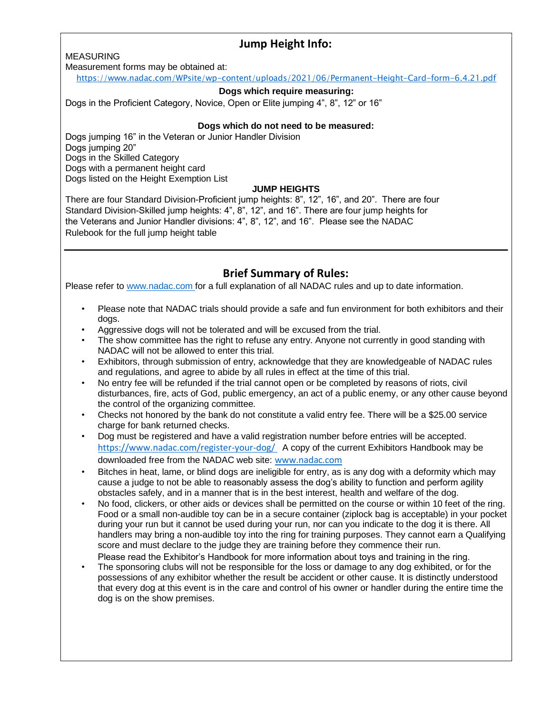## **Jump Height Info:**

#### MEASURING

Measurement forms may be obtained at:

<https://www.nadac.com/WPsite/wp-content/uploads/2021/06/Permanent-Height-Card-form-6.4.21.pdf>

#### **Dogs which require measuring:**

Dogs in the Proficient Category, Novice, Open or Elite jumping 4", 8", 12" or 16"

#### **Dogs which do not need to be measured:**

Dogs jumping 16" in the Veteran or Junior Handler Division Dogs jumping 20" Dogs in the Skilled Category Dogs with a permanent height card Dogs listed on the Height Exemption List

#### **JUMP HEIGHTS**

There are four Standard Division-Proficient jump heights: 8", 12", 16", and 20". There are four Standard Division-Skilled jump heights: 4", 8", 12", and 16". There are four jump heights for the Veterans and Junior Handler divisions: 4", 8", 12", and 16". Please see the NADAC Rulebook for the full jump height table

## **Brief Summary of Rules:**

Please refer to [www.nadac.com](http://www.nadac.com/) for a full explanation of all NADAC rules and up to date information.

- Please note that NADAC trials should provide a safe and fun environment for both exhibitors and their dogs.
- Aggressive dogs will not be tolerated and will be excused from the trial.
- The show committee has the right to refuse any entry. Anyone not currently in good standing with NADAC will not be allowed to enter this trial.
- Exhibitors, through submission of entry, acknowledge that they are knowledgeable of NADAC rules and regulations, and agree to abide by all rules in effect at the time of this trial.
- No entry fee will be refunded if the trial cannot open or be completed by reasons of riots, civil disturbances, fire, acts of God, public emergency, an act of a public enemy, or any other cause beyond the control of the organizing committee.
- Checks not honored by the bank do not constitute a valid entry fee. There will be a \$25.00 service charge for bank returned checks.
- Dog must be registered and have a valid registration number before entries will be accepted. <https://www.nadac.com/register-your-dog/> A copy of the current Exhibitors Handbook may be downloaded free from the NADAC web site: www.nadac.com
- Bitches in heat, lame, or blind dogs are ineligible for entry, as is any dog with a deformity which may cause a judge to not be able to reasonably assess the dog's ability to function and perform agility obstacles safely, and in a manner that is in the best interest, health and welfare of the dog.
- No food, clickers, or other aids or devices shall be permitted on the course or within 10 feet of the ring. Food or a small non-audible toy can be in a secure container (ziplock bag is acceptable) in your pocket during your run but it cannot be used during your run, nor can you indicate to the dog it is there. All handlers may bring a non-audible toy into the ring for training purposes. They cannot earn a Qualifying score and must declare to the judge they are training before they commence their run. Please read the Exhibitor's Handbook for more information about toys and training in the ring.
- The sponsoring clubs will not be responsible for the loss or damage to any dog exhibited, or for the possessions of any exhibitor whether the result be accident or other cause. It is distinctly understood that every dog at this event is in the care and control of his owner or handler during the entire time the dog is on the show premises.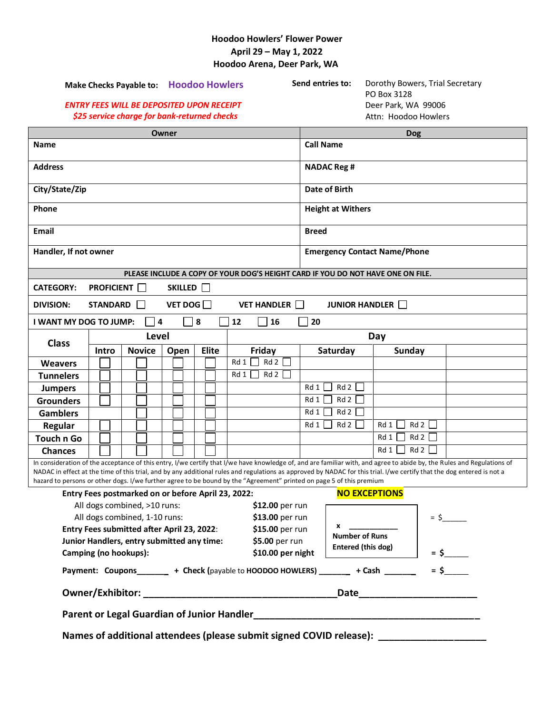#### **Hoodoo Howlers' Flower Power April 29 – May 1, 2022 Hoodoo Arena, Deer Park, WA**

| Make Checks Payable to: Hoodoo Howlers<br><b>ENTRY FEES WILL BE DEPOSITED UPON RECEIPT</b><br>\$25 service charge for bank-returned checks |       |                   |  |               |   |      |                      | Send entries to:<br>Dorothy Bowers, Trial Secretary<br>PO Box 3128<br>Deer Park, WA 99006<br>Attn: Hoodoo Howlers |                                     |                          |                    |  |              |  |                                                                                                                                                                        |  |  |
|--------------------------------------------------------------------------------------------------------------------------------------------|-------|-------------------|--|---------------|---|------|----------------------|-------------------------------------------------------------------------------------------------------------------|-------------------------------------|--------------------------|--------------------|--|--------------|--|------------------------------------------------------------------------------------------------------------------------------------------------------------------------|--|--|
|                                                                                                                                            |       |                   |  |               |   |      |                      |                                                                                                                   |                                     |                          |                    |  |              |  |                                                                                                                                                                        |  |  |
| Owner<br>Name                                                                                                                              |       |                   |  |               |   |      |                      |                                                                                                                   | <b>Dog</b><br><b>Call Name</b>      |                          |                    |  |              |  |                                                                                                                                                                        |  |  |
|                                                                                                                                            |       |                   |  |               |   |      |                      |                                                                                                                   |                                     |                          |                    |  |              |  |                                                                                                                                                                        |  |  |
| <b>Address</b>                                                                                                                             |       |                   |  |               |   |      |                      |                                                                                                                   | <b>NADAC Reg #</b>                  |                          |                    |  |              |  |                                                                                                                                                                        |  |  |
| City/State/Zip                                                                                                                             |       |                   |  |               |   |      |                      | Date of Birth                                                                                                     |                                     |                          |                    |  |              |  |                                                                                                                                                                        |  |  |
|                                                                                                                                            |       |                   |  |               |   |      |                      |                                                                                                                   |                                     |                          |                    |  |              |  |                                                                                                                                                                        |  |  |
| Phone                                                                                                                                      |       |                   |  |               |   |      |                      |                                                                                                                   |                                     | <b>Height at Withers</b> |                    |  |              |  |                                                                                                                                                                        |  |  |
| Email                                                                                                                                      |       |                   |  |               |   |      |                      |                                                                                                                   |                                     |                          |                    |  | <b>Breed</b> |  |                                                                                                                                                                        |  |  |
| Handler, If not owner                                                                                                                      |       |                   |  |               |   |      |                      |                                                                                                                   | <b>Emergency Contact Name/Phone</b> |                          |                    |  |              |  |                                                                                                                                                                        |  |  |
|                                                                                                                                            |       |                   |  |               |   |      |                      |                                                                                                                   |                                     |                          |                    |  |              |  | PLEASE INCLUDE A COPY OF YOUR DOG'S HEIGHT CARD IF YOU DO NOT HAVE ONE ON FILE.                                                                                        |  |  |
| <b>CATEGORY:</b>                                                                                                                           |       | <b>PROFICIENT</b> |  |               |   |      | SKILLED <sup>[</sup> |                                                                                                                   |                                     |                          |                    |  |              |  |                                                                                                                                                                        |  |  |
| <b>DIVISION:</b>                                                                                                                           |       | <b>STANDARD</b>   |  | $\perp$       |   |      |                      | VET DOG $\Box$                                                                                                    |                                     |                          | <b>VET HANDLER</b> |  |              |  | <b>JUNIOR HANDLER</b>                                                                                                                                                  |  |  |
| I WANT MY DOG TO JUMP:                                                                                                                     |       |                   |  |               | 4 |      |                      | 8                                                                                                                 |                                     | 12                       | 16                 |  | 20           |  |                                                                                                                                                                        |  |  |
| <b>Class</b>                                                                                                                               | Level |                   |  |               |   |      |                      |                                                                                                                   |                                     |                          | Day                |  |              |  |                                                                                                                                                                        |  |  |
|                                                                                                                                            |       | Intro             |  | <b>Novice</b> |   | Open |                      | <b>Elite</b>                                                                                                      |                                     |                          | Friday             |  | Saturday     |  | <b>Sunday</b>                                                                                                                                                          |  |  |
| <b>Weavers</b>                                                                                                                             |       |                   |  |               |   |      |                      |                                                                                                                   |                                     | Rd 1                     | Rd2                |  |              |  |                                                                                                                                                                        |  |  |
| <b>Tunnelers</b>                                                                                                                           |       |                   |  |               |   |      |                      |                                                                                                                   |                                     | Rd 1                     | Rd2                |  |              |  |                                                                                                                                                                        |  |  |
| <b>Jumpers</b>                                                                                                                             |       |                   |  |               |   |      |                      |                                                                                                                   |                                     |                          |                    |  | Rd 2<br>Rd 1 |  |                                                                                                                                                                        |  |  |
| <b>Grounders</b>                                                                                                                           |       |                   |  |               |   |      |                      |                                                                                                                   |                                     |                          |                    |  | Rd 2<br>Rd 1 |  |                                                                                                                                                                        |  |  |
| <b>Gamblers</b>                                                                                                                            |       |                   |  |               |   |      |                      |                                                                                                                   |                                     |                          |                    |  | Rd 2<br>Rd 1 |  |                                                                                                                                                                        |  |  |
| Regular                                                                                                                                    |       |                   |  |               |   |      |                      |                                                                                                                   |                                     |                          |                    |  | Rd2<br>Rd 1  |  | Rd 2<br>Rd 1                                                                                                                                                           |  |  |
| <b>Touch n Go</b>                                                                                                                          |       |                   |  |               |   |      |                      |                                                                                                                   |                                     |                          |                    |  |              |  | Rd 1<br>Rd 2                                                                                                                                                           |  |  |
| <b>Chances</b>                                                                                                                             |       |                   |  |               |   |      |                      |                                                                                                                   |                                     |                          |                    |  |              |  | Rd 2<br>Rd 1                                                                                                                                                           |  |  |
|                                                                                                                                            |       |                   |  |               |   |      |                      |                                                                                                                   |                                     |                          |                    |  |              |  | In consideration of the acceptance of this entry, I/we certify that I/we have knowledge of, and are familiar with, and agree to abide by, the Rules and Regulations of |  |  |

NADAC in effect at the time of this trial, and by any additional rules and regulations as approved by NADAC for this trial. I/we certify that the dog entered is not a hazard to persons or other dogs. I/we further agree to be bound by the "Agreement" printed on page 5 of this premium

| Entry Fees postmarked on or before April 23, 2022: |  |                                                                                                                           |  |  |  |  |  |  |  |  |
|----------------------------------------------------|--|---------------------------------------------------------------------------------------------------------------------------|--|--|--|--|--|--|--|--|
| \$12.00 per run                                    |  |                                                                                                                           |  |  |  |  |  |  |  |  |
| \$13.00 per run                                    |  | $=$ \$                                                                                                                    |  |  |  |  |  |  |  |  |
| \$15.00 per run                                    |  |                                                                                                                           |  |  |  |  |  |  |  |  |
| \$5.00 per run                                     |  |                                                                                                                           |  |  |  |  |  |  |  |  |
| \$10.00 per night                                  |  | $=$ \$                                                                                                                    |  |  |  |  |  |  |  |  |
|                                                    |  | $=$ \$                                                                                                                    |  |  |  |  |  |  |  |  |
| <b>Owner/Exhibitor:</b>                            |  |                                                                                                                           |  |  |  |  |  |  |  |  |
| Parent or Legal Guardian of Junior Handler         |  |                                                                                                                           |  |  |  |  |  |  |  |  |
|                                                    |  | <b>NO EXCEPTIONS</b><br><b>Number of Runs</b><br>Entered (this dog)<br>+ Check (payable to HOODOO HOWLERS) + Cash<br>Date |  |  |  |  |  |  |  |  |

Names of additional attendees (please submit signed COVID release): \_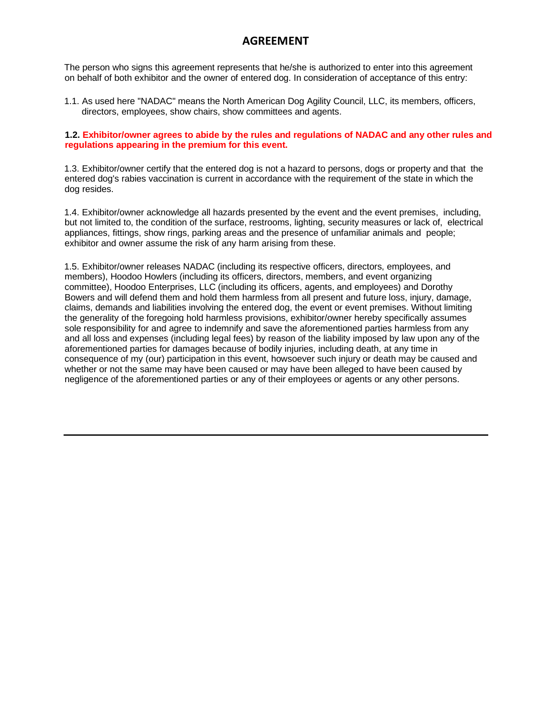#### **AGREEMENT**

The person who signs this agreement represents that he/she is authorized to enter into this agreement on behalf of both exhibitor and the owner of entered dog. In consideration of acceptance of this entry:

1.1. As used here "NADAC" means the North American Dog Agility Council, LLC, its members, officers, directors, employees, show chairs, show committees and agents.

#### **1.2. Exhibitor/owner agrees to abide by the rules and regulations of NADAC and any other rules and regulations appearing in the premium for this event.**

1.3. Exhibitor/owner certify that the entered dog is not a hazard to persons, dogs or property and that the entered dog's rabies vaccination is current in accordance with the requirement of the state in which the dog resides.

1.4. Exhibitor/owner acknowledge all hazards presented by the event and the event premises, including, but not limited to, the condition of the surface, restrooms, lighting, security measures or lack of, electrical appliances, fittings, show rings, parking areas and the presence of unfamiliar animals and people; exhibitor and owner assume the risk of any harm arising from these.

1.5. Exhibitor/owner releases NADAC (including its respective officers, directors, employees, and members), Hoodoo Howlers (including its officers, directors, members, and event organizing committee), Hoodoo Enterprises, LLC (including its officers, agents, and employees) and Dorothy Bowers and will defend them and hold them harmless from all present and future loss, injury, damage, claims, demands and liabilities involving the entered dog, the event or event premises. Without limiting the generality of the foregoing hold harmless provisions, exhibitor/owner hereby specifically assumes sole responsibility for and agree to indemnify and save the aforementioned parties harmless from any and all loss and expenses (including legal fees) by reason of the liability imposed by law upon any of the aforementioned parties for damages because of bodily injuries, including death, at any time in consequence of my (our) participation in this event, howsoever such injury or death may be caused and whether or not the same may have been caused or may have been alleged to have been caused by negligence of the aforementioned parties or any of their employees or agents or any other persons.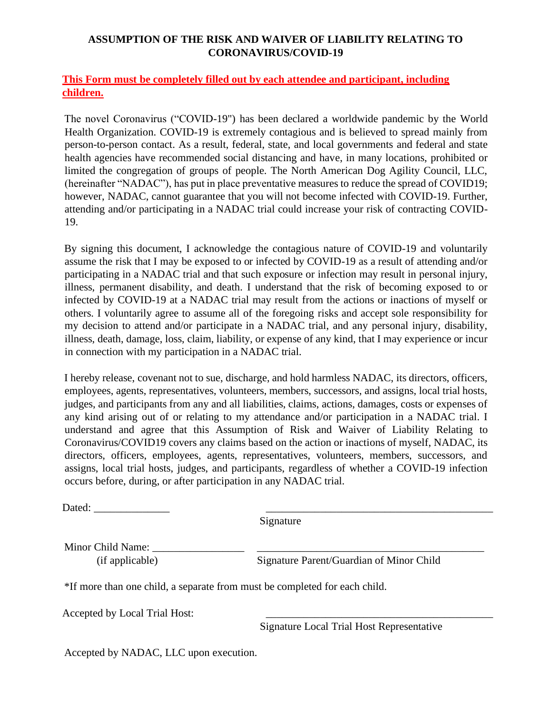#### **ASSUMPTION OF THE RISK AND WAIVER OF LIABILITY RELATING TO CORONAVIRUS/COVID-19**

#### **This Form must be completely filled out by each attendee and participant, including children.**

The novel Coronavirus ("COVID-19") has been declared a worldwide pandemic by the World Health Organization. COVID-19 is extremely contagious and is believed to spread mainly from person-to-person contact. As a result, federal, state, and local governments and federal and state health agencies have recommended social distancing and have, in many locations, prohibited or limited the congregation of groups of people. The North American Dog Agility Council, LLC, (hereinafter "NADAC"), has put in place preventative measures to reduce the spread of COVID19; however, NADAC, cannot guarantee that you will not become infected with COVID-19. Further, attending and/or participating in a NADAC trial could increase your risk of contracting COVID-19.

By signing this document, I acknowledge the contagious nature of COVID-19 and voluntarily assume the risk that I may be exposed to or infected by COVID-19 as a result of attending and/or participating in a NADAC trial and that such exposure or infection may result in personal injury, illness, permanent disability, and death. I understand that the risk of becoming exposed to or infected by COVID-19 at a NADAC trial may result from the actions or inactions of myself or others. I voluntarily agree to assume all of the foregoing risks and accept sole responsibility for my decision to attend and/or participate in a NADAC trial, and any personal injury, disability, illness, death, damage, loss, claim, liability, or expense of any kind, that I may experience or incur in connection with my participation in a NADAC trial.

I hereby release, covenant not to sue, discharge, and hold harmless NADAC, its directors, officers, employees, agents, representatives, volunteers, members, successors, and assigns, local trial hosts, judges, and participants from any and all liabilities, claims, actions, damages, costs or expenses of any kind arising out of or relating to my attendance and/or participation in a NADAC trial. I understand and agree that this Assumption of Risk and Waiver of Liability Relating to Coronavirus/COVID19 covers any claims based on the action or inactions of myself, NADAC, its directors, officers, employees, agents, representatives, volunteers, members, successors, and assigns, local trial hosts, judges, and participants, regardless of whether a COVID-19 infection occurs before, during, or after participation in any NADAC trial.

Dated: \_\_\_\_\_\_\_\_\_\_\_\_\_\_ \_\_\_\_\_\_\_\_\_\_\_\_\_\_\_\_\_\_\_\_\_\_\_\_\_\_\_\_\_\_\_\_\_\_\_\_\_\_\_\_\_\_

Signature

Minor Child Name: \_\_\_\_\_\_\_\_\_\_\_\_\_\_\_\_\_ \_\_\_\_\_\_\_\_\_\_\_\_\_\_\_\_\_\_\_\_\_\_\_\_\_\_\_\_\_\_\_\_\_\_\_\_\_\_\_\_\_\_

(if applicable) Signature Parent/Guardian of Minor Child

\*If more than one child, a separate from must be completed for each child.

Accepted by Local Trial Host:

Signature Local Trial Host Representative

Accepted by NADAC, LLC upon execution.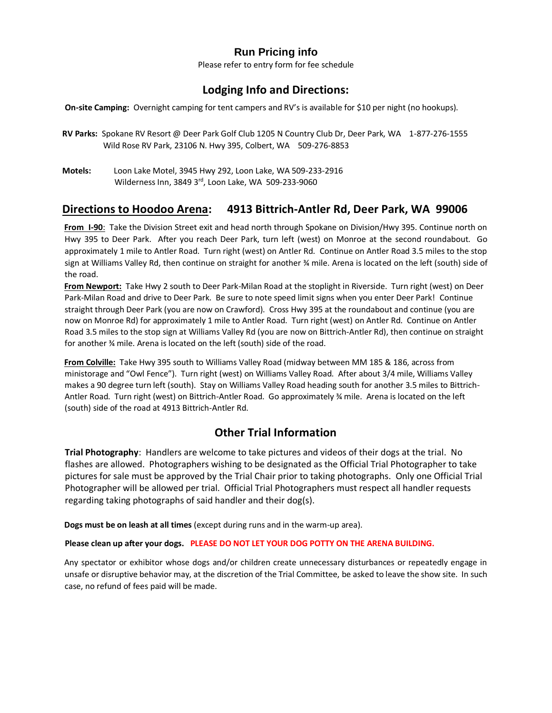#### **Run Pricing info**

Please refer to entry form for fee schedule

#### **Lodging Info and Directions:**

**On-site Camping:** Overnight camping for tent campers and RV's is available for \$10 per night (no hookups).

- **RV Parks:** Spokane RV Resort @ Deer Park Golf Club 1205 N Country Club Dr, Deer Park, WA 1-877-276-1555 Wild Rose RV Park, 23106 N. Hwy 395, Colbert, WA 509-276-8853
- **Motels:** Loon Lake Motel, 3945 Hwy 292, Loon Lake, WA 509-233-2916 Wilderness Inn, 3849 3rd, Loon Lake, WA 509-233-9060

#### **Directions to Hoodoo Arena: 4913 Bittrich-Antler Rd, Deer Park, WA 99006**

**From I-90**: Take the Division Street exit and head north through Spokane on Division/Hwy 395. Continue north on Hwy 395 to Deer Park. After you reach Deer Park, turn left (west) on Monroe at the second roundabout. Go approximately 1 mile to Antler Road. Turn right (west) on Antler Rd. Continue on Antler Road 3.5 miles to the stop sign at Williams Valley Rd, then continue on straight for another ¾ mile. Arena is located on the left (south) side of the road.

**From Newport:** Take Hwy 2 south to Deer Park-Milan Road at the stoplight in Riverside. Turn right (west) on Deer Park-Milan Road and drive to Deer Park. Be sure to note speed limit signs when you enter Deer Park! Continue straight through Deer Park (you are now on Crawford). Cross Hwy 395 at the roundabout and continue (you are now on Monroe Rd) for approximately 1 mile to Antler Road. Turn right (west) on Antler Rd. Continue on Antler Road 3.5 miles to the stop sign at Williams Valley Rd (you are now on Bittrich-Antler Rd), then continue on straight for another ¾ mile. Arena is located on the left (south) side of the road.

**From Colville:** Take Hwy 395 south to Williams Valley Road (midway between MM 185 & 186, across from ministorage and "Owl Fence"). Turn right (west) on Williams Valley Road. After about 3/4 mile, Williams Valley makes a 90 degree turn left (south). Stay on Williams Valley Road heading south for another 3.5 miles to Bittrich-Antler Road. Turn right (west) on Bittrich-Antler Road. Go approximately ¾ mile. Arena is located on the left (south) side of the road at 4913 Bittrich-Antler Rd.

## **Other Trial Information**

**Trial Photography**: Handlers are welcome to take pictures and videos of their dogs at the trial. No flashes are allowed. Photographers wishing to be designated as the Official Trial Photographer to take pictures for sale must be approved by the Trial Chair prior to taking photographs. Only one Official Trial Photographer will be allowed per trial. Official Trial Photographers must respect all handler requests regarding taking photographs of said handler and their dog(s).

**Dogs must be on leash at all times** (except during runs and in the warm-up area).

#### **Please clean up after your dogs. PLEASE DO NOT LET YOUR DOG POTTY ON THE ARENA BUILDING.**

Any spectator or exhibitor whose dogs and/or children create unnecessary disturbances or repeatedly engage in unsafe or disruptive behavior may, at the discretion of the Trial Committee, be asked to leave the show site. In such case, no refund of fees paid will be made.